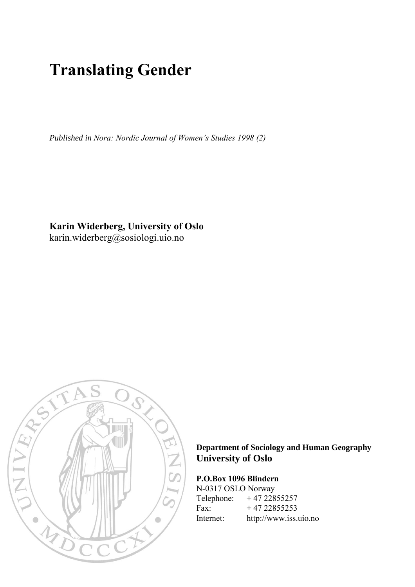# **Translating Gender**

*Published in Nora: Nordic Journal of Women's Studies 1998 (2)*

**Karin Widerberg, University of Oslo** karin.widerberg@sosiologi.uio.no



# **Department of Sociology and Human Geography University of Oslo**

# **P.O.Box 1096 Blindern**

N-0317 OSLO Norway Telephone: + 47 22855257 Fax:  $+47\,22855253$ Internet: http://www.iss.uio.no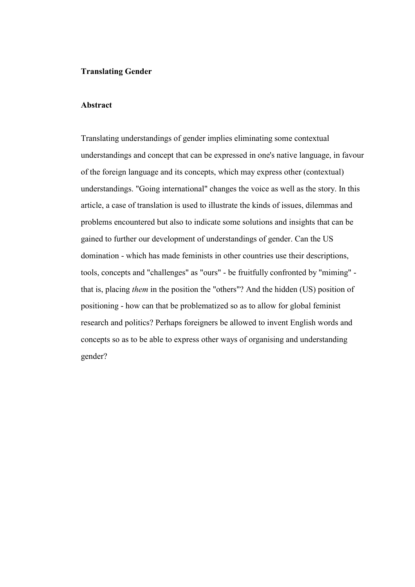## **Translating Gender**

## **Abstract**

Translating understandings of gender implies eliminating some contextual understandings and concept that can be expressed in one's native language, in favour of the foreign language and its concepts, which may express other (contextual) understandings. "Going international" changes the voice as well as the story. In this article, a case of translation is used to illustrate the kinds of issues, dilemmas and problems encountered but also to indicate some solutions and insights that can be gained to further our development of understandings of gender. Can the US domination - which has made feminists in other countries use their descriptions, tools, concepts and "challenges" as "ours" - be fruitfully confronted by "miming" that is, placing *them* in the position the "others"? And the hidden (US) position of positioning - how can that be problematized so as to allow for global feminist research and politics? Perhaps foreigners be allowed to invent English words and concepts so as to be able to express other ways of organising and understanding gender?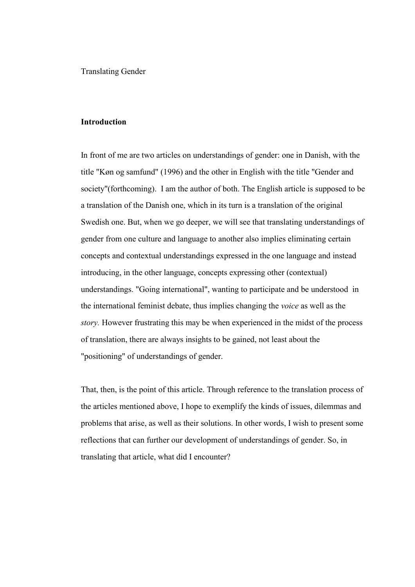Translating Gender

#### **Introduction**

In front of me are two articles on understandings of gender: one in Danish, with the title "Køn og samfund" (1996) and the other in English with the title "Gender and society"(forthcoming). I am the author of both. The English article is supposed to be a translation of the Danish one, which in its turn is a translation of the original Swedish one. But, when we go deeper, we will see that translating understandings of gender from one culture and language to another also implies eliminating certain concepts and contextual understandings expressed in the one language and instead introducing, in the other language, concepts expressing other (contextual) understandings. "Going international", wanting to participate and be understood in the international feminist debate, thus implies changing the *voice* as well as the *story.* However frustrating this may be when experienced in the midst of the process of translation, there are always insights to be gained, not least about the "positioning" of understandings of gender.

That, then, is the point of this article. Through reference to the translation process of the articles mentioned above, I hope to exemplify the kinds of issues, dilemmas and problems that arise, as well as their solutions. In other words, I wish to present some reflections that can further our development of understandings of gender. So, in translating that article, what did I encounter?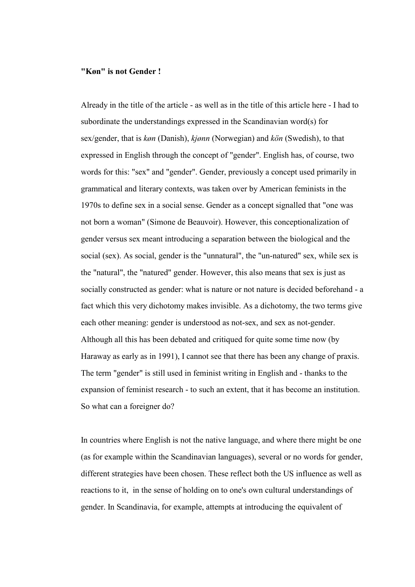#### **"Køn" is not Gender !**

Already in the title of the article - as well as in the title of this article here - I had to subordinate the understandings expressed in the Scandinavian word(s) for sex/gender, that is *køn* (Danish), *kjønn* (Norwegian) and *kön* (Swedish), to that expressed in English through the concept of "gender". English has, of course, two words for this: "sex" and "gender". Gender, previously a concept used primarily in grammatical and literary contexts, was taken over by American feminists in the 1970s to define sex in a social sense. Gender as a concept signalled that "one was not born a woman" (Simone de Beauvoir). However, this conceptionalization of gender versus sex meant introducing a separation between the biological and the social (sex). As social, gender is the "unnatural", the "un-natured" sex, while sex is the "natural", the "natured" gender. However, this also means that sex is just as socially constructed as gender: what is nature or not nature is decided beforehand - a fact which this very dichotomy makes invisible. As a dichotomy, the two terms give each other meaning: gender is understood as not-sex, and sex as not-gender. Although all this has been debated and critiqued for quite some time now (by Haraway as early as in 1991), I cannot see that there has been any change of praxis. The term "gender" is still used in feminist writing in English and - thanks to the expansion of feminist research - to such an extent, that it has become an institution. So what can a foreigner do?

In countries where English is not the native language, and where there might be one (as for example within the Scandinavian languages), several or no words for gender, different strategies have been chosen. These reflect both the US influence as well as reactions to it, in the sense of holding on to one's own cultural understandings of gender. In Scandinavia, for example, attempts at introducing the equivalent of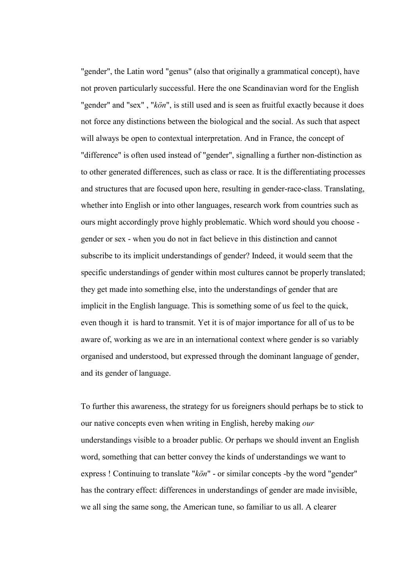"gender", the Latin word "genus" (also that originally a grammatical concept), have not proven particularly successful. Here the one Scandinavian word for the English "gender" and "sex", "kön", is still used and is seen as fruitful exactly because it does not force any distinctions between the biological and the social. As such that aspect will always be open to contextual interpretation. And in France, the concept of "difference" is often used instead of "gender", signalling a further non-distinction as to other generated differences, such as class or race. It is the differentiating processes and structures that are focused upon here, resulting in gender-race-class. Translating, whether into English or into other languages, research work from countries such as ours might accordingly prove highly problematic. Which word should you choose gender or sex - when you do not in fact believe in this distinction and cannot subscribe to its implicit understandings of gender? Indeed, it would seem that the specific understandings of gender within most cultures cannot be properly translated; they get made into something else, into the understandings of gender that are implicit in the English language. This is something some of us feel to the quick, even though it is hard to transmit. Yet it is of major importance for all of us to be aware of, working as we are in an international context where gender is so variably organised and understood, but expressed through the dominant language of gender, and its gender of language.

To further this awareness, the strategy for us foreigners should perhaps be to stick to our native concepts even when writing in English, hereby making *our* understandings visible to a broader public. Or perhaps we should invent an English word, something that can better convey the kinds of understandings we want to express ! Continuing to translate "*kön*" - or similar concepts -by the word "gender" has the contrary effect: differences in understandings of gender are made invisible, we all sing the same song, the American tune, so familiar to us all. A clearer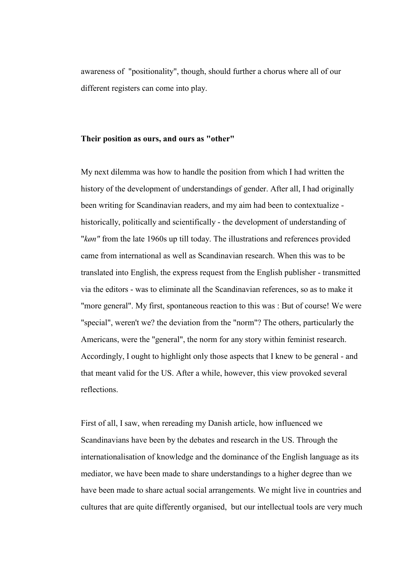awareness of "positionality", though, should further a chorus where all of our different registers can come into play.

#### **Their position as ours, and ours as "other"**

My next dilemma was how to handle the position from which I had written the history of the development of understandings of gender. After all, I had originally been writing for Scandinavian readers, and my aim had been to contextualize historically, politically and scientifically - the development of understanding of "*køn"* from the late 1960s up till today. The illustrations and references provided came from international as well as Scandinavian research. When this was to be translated into English, the express request from the English publisher - transmitted via the editors - was to eliminate all the Scandinavian references, so as to make it "more general". My first, spontaneous reaction to this was : But of course! We were "special", weren't we? the deviation from the "norm"? The others, particularly the Americans, were the "general", the norm for any story within feminist research. Accordingly, I ought to highlight only those aspects that I knew to be general - and that meant valid for the US. After a while, however, this view provoked several reflections.

First of all, I saw, when rereading my Danish article, how influenced we Scandinavians have been by the debates and research in the US. Through the internationalisation of knowledge and the dominance of the English language as its mediator, we have been made to share understandings to a higher degree than we have been made to share actual social arrangements. We might live in countries and cultures that are quite differently organised, but our intellectual tools are very much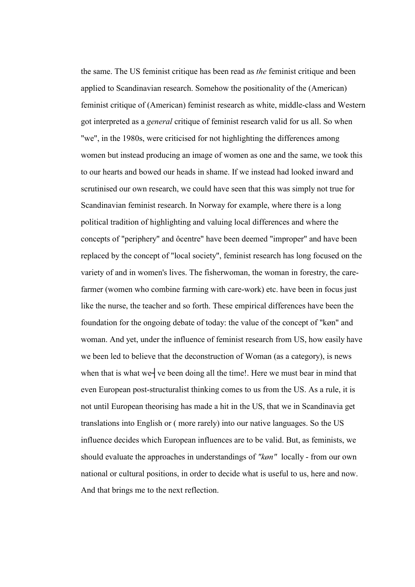the same. The US feminist critique has been read as *the* feminist critique and been applied to Scandinavian research. Somehow the positionality of the (American) feminist critique of (American) feminist research as white, middle-class and Western got interpreted as a *general* critique of feminist research valid for us all. So when "we", in the 1980s, were criticised for not highlighting the differences among women but instead producing an image of women as one and the same, we took this to our hearts and bowed our heads in shame. If we instead had looked inward and scrutinised our own research, we could have seen that this was simply not true for Scandinavian feminist research. In Norway for example, where there is a long political tradition of highlighting and valuing local differences and where the concepts of "periphery" and ôcentre" have been deemed "improper" and have been replaced by the concept of "local society", feminist research has long focused on the variety of and in women's lives. The fisherwoman, the woman in forestry, the carefarmer (women who combine farming with care-work) etc. have been in focus just like the nurse, the teacher and so forth. These empirical differences have been the foundation for the ongoing debate of today: the value of the concept of "køn" and woman. And yet, under the influence of feminist research from US, how easily have we been led to believe that the deconstruction of Woman (as a category), is news when that is what we- ve been doing all the time!. Here we must bear in mind that even European post-structuralist thinking comes to us from the US. As a rule, it is not until European theorising has made a hit in the US, that we in Scandinavia get translations into English or ( more rarely) into our native languages. So the US influence decides which European influences are to be valid. But, as feminists, we should evaluate the approaches in understandings of *"køn"* locally - from our own national or cultural positions, in order to decide what is useful to us, here and now. And that brings me to the next reflection.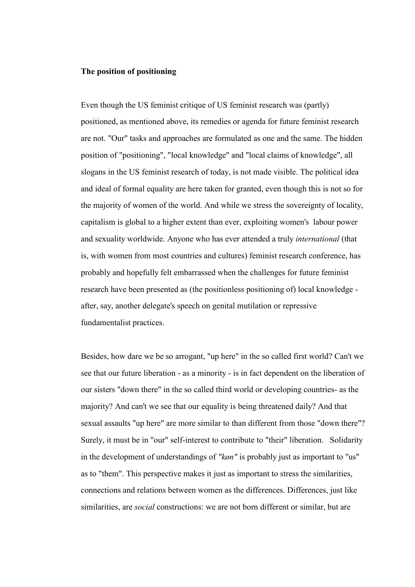#### **The position of positioning**

Even though the US feminist critique of US feminist research was (partly) positioned, as mentioned above, its remedies or agenda for future feminist research are not. "Our" tasks and approaches are formulated as one and the same. The hidden position of "positioning", "local knowledge" and "local claims of knowledge", all slogans in the US feminist research of today, is not made visible. The political idea and ideal of formal equality are here taken for granted, even though this is not so for the majority of women of the world. And while we stress the sovereignty of locality, capitalism is global to a higher extent than ever, exploiting women's labour power and sexuality worldwide. Anyone who has ever attended a truly *international* (that is, with women from most countries and cultures) feminist research conference, has probably and hopefully felt embarrassed when the challenges for future feminist research have been presented as (the positionless positioning of) local knowledge after, say, another delegate's speech on genital mutilation or repressive fundamentalist practices.

Besides, how dare we be so arrogant, "up here" in the so called first world? Can't we see that our future liberation - as a minority - is in fact dependent on the liberation of our sisters "down there" in the so called third world or developing countries- as the majority? And can't we see that our equality is being threatened daily? And that sexual assaults "up here" are more similar to than different from those "down there"? Surely, it must be in "our" self-interest to contribute to "their" liberation. Solidarity in the development of understandings of *"køn"* is probably just as important to "us" as to "them". This perspective makes it just as important to stress the similarities, connections and relations between women as the differences. Differences, just like similarities, are *social* constructions: we are not born different or similar, but are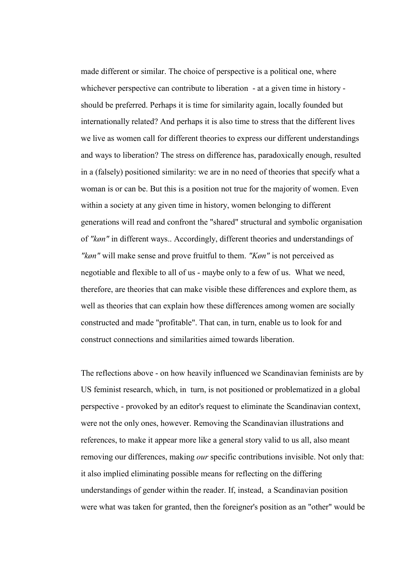made different or similar. The choice of perspective is a political one, where whichever perspective can contribute to liberation - at a given time in history should be preferred. Perhaps it is time for similarity again, locally founded but internationally related? And perhaps it is also time to stress that the different lives we live as women call for different theories to express our different understandings and ways to liberation? The stress on difference has, paradoxically enough, resulted in a (falsely) positioned similarity: we are in no need of theories that specify what a woman is or can be. But this is a position not true for the majority of women. Even within a society at any given time in history, women belonging to different generations will read and confront the "shared" structural and symbolic organisation of *"køn"* in different ways.. Accordingly, different theories and understandings of *"køn"* will make sense and prove fruitful to them. *"Køn"* is not perceived as negotiable and flexible to all of us - maybe only to a few of us. What we need, therefore, are theories that can make visible these differences and explore them, as well as theories that can explain how these differences among women are socially constructed and made "profitable". That can, in turn, enable us to look for and construct connections and similarities aimed towards liberation.

The reflections above - on how heavily influenced we Scandinavian feminists are by US feminist research, which, in turn, is not positioned or problematized in a global perspective - provoked by an editor's request to eliminate the Scandinavian context, were not the only ones, however. Removing the Scandinavian illustrations and references, to make it appear more like a general story valid to us all, also meant removing our differences, making *our* specific contributions invisible. Not only that: it also implied eliminating possible means for reflecting on the differing understandings of gender within the reader. If, instead, a Scandinavian position were what was taken for granted, then the foreigner's position as an "other" would be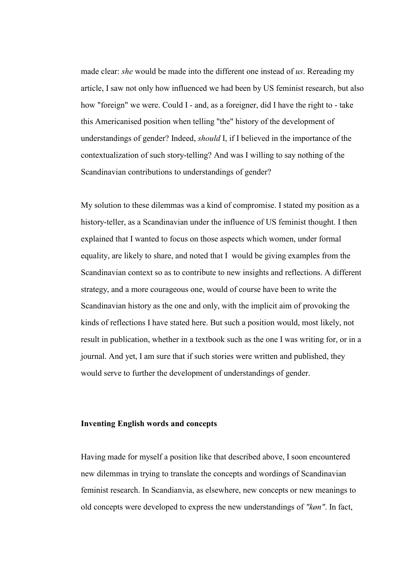made clear: *she* would be made into the different one instead of *us*. Rereading my article, I saw not only how influenced we had been by US feminist research, but also how "foreign" we were. Could I - and, as a foreigner, did I have the right to - take this Americanised position when telling "the" history of the development of understandings of gender? Indeed, *should* I, if I believed in the importance of the contextualization of such story-telling? And was I willing to say nothing of the Scandinavian contributions to understandings of gender?

My solution to these dilemmas was a kind of compromise. I stated my position as a history-teller, as a Scandinavian under the influence of US feminist thought. I then explained that I wanted to focus on those aspects which women, under formal equality, are likely to share, and noted that I would be giving examples from the Scandinavian context so as to contribute to new insights and reflections. A different strategy, and a more courageous one, would of course have been to write the Scandinavian history as the one and only, with the implicit aim of provoking the kinds of reflections I have stated here. But such a position would, most likely, not result in publication, whether in a textbook such as the one I was writing for, or in a journal. And yet, I am sure that if such stories were written and published, they would serve to further the development of understandings of gender.

## **Inventing English words and concepts**

Having made for myself a position like that described above, I soon encountered new dilemmas in trying to translate the concepts and wordings of Scandinavian feminist research. In Scandianvia, as elsewhere, new concepts or new meanings to old concepts were developed to express the new understandings of *"køn"*. In fact,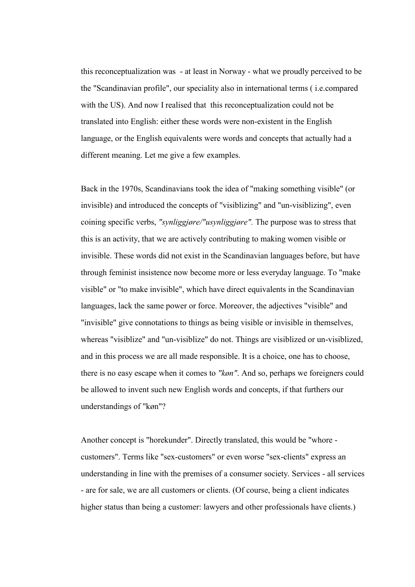this reconceptualization was - at least in Norway - what we proudly perceived to be the "Scandinavian profile", our speciality also in international terms ( i.e.compared with the US). And now I realised that this reconceptualization could not be translated into English: either these words were non-existent in the English language, or the English equivalents were words and concepts that actually had a different meaning. Let me give a few examples.

Back in the 1970s, Scandinavians took the idea of "making something visible" (or invisible) and introduced the concepts of "visiblizing" and "un-visiblizing", even coining specific verbs, *"synliggjøre/"usynliggjøre".* The purpose was to stress that this is an activity, that we are actively contributing to making women visible or invisible. These words did not exist in the Scandinavian languages before, but have through feminist insistence now become more or less everyday language. To "make visible" or "to make invisible", which have direct equivalents in the Scandinavian languages, lack the same power or force. Moreover, the adjectives "visible" and "invisible" give connotations to things as being visible or invisible in themselves, whereas "visiblize" and "un-visiblize" do not. Things are visiblized or un-visiblized, and in this process we are all made responsible. It is a choice, one has to choose, there is no easy escape when it comes to *"køn"*. And so, perhaps we foreigners could be allowed to invent such new English words and concepts, if that furthers our understandings of "køn"?

Another concept is "horekunder". Directly translated, this would be "whore customers". Terms like "sex-customers" or even worse "sex-clients" express an understanding in line with the premises of a consumer society. Services - all services - are for sale, we are all customers or clients. (Of course, being a client indicates higher status than being a customer: lawyers and other professionals have clients.)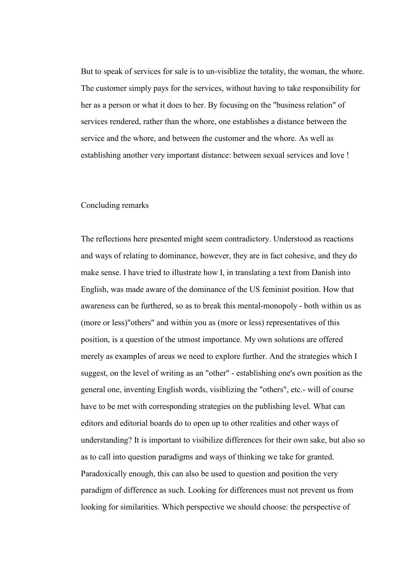But to speak of services for sale is to un-visiblize the totality, the woman, the whore. The customer simply pays for the services, without having to take responsibility for her as a person or what it does to her. By focusing on the "business relation" of services rendered, rather than the whore, one establishes a distance between the service and the whore, and between the customer and the whore. As well as establishing another very important distance: between sexual services and love !

#### Concluding remarks

The reflections here presented might seem contradictory. Understood as reactions and ways of relating to dominance, however, they are in fact cohesive, and they do make sense. I have tried to illustrate how I, in translating a text from Danish into English, was made aware of the dominance of the US feminist position. How that awareness can be furthered, so as to break this mental-monopoly - both within us as (more or less)"others" and within you as (more or less) representatives of this position, is a question of the utmost importance. My own solutions are offered merely as examples of areas we need to explore further. And the strategies which I suggest, on the level of writing as an "other" - establishing one's own position as the general one, inventing English words, visiblizing the "others", etc.- will of course have to be met with corresponding strategies on the publishing level. What can editors and editorial boards do to open up to other realities and other ways of understanding? It is important to visibilize differences for their own sake, but also so as to call into question paradigms and ways of thinking we take for granted. Paradoxically enough, this can also be used to question and position the very paradigm of difference as such. Looking for differences must not prevent us from looking for similarities. Which perspective we should choose: the perspective of